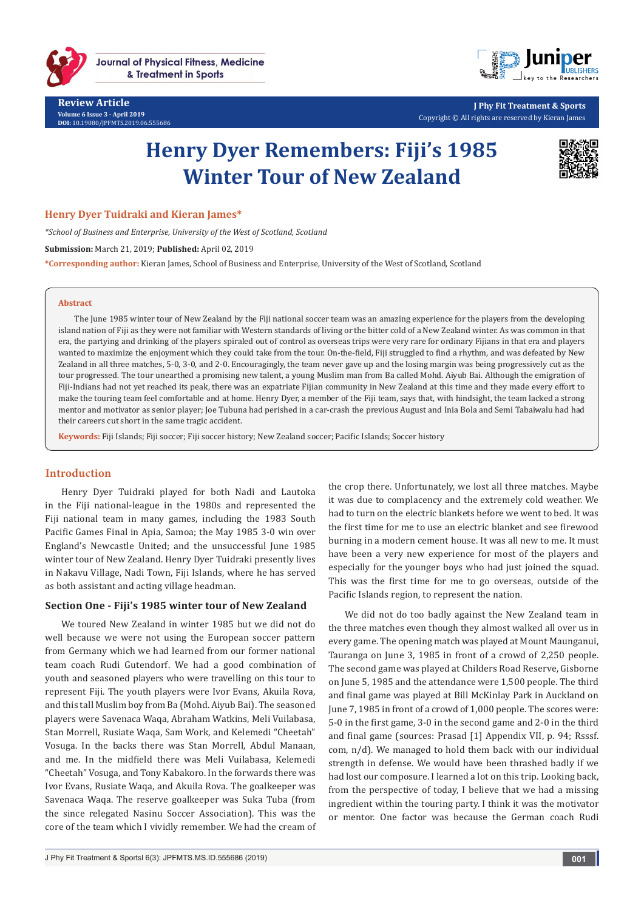



**J Phy Fit Treatment & Sports** Copyright © All rights are reserved by Kieran James

# **Henry Dyer Remembers: Fiji's 1985 Winter Tour of New Zealand**



## **Henry Dyer Tuidraki and Kieran James\***

*\*School of Business and Enterprise, University of the West of Scotland, Scotland*

**Submission:** March 21, 2019; **Published:** April 02, 2019

**\*Corresponding author:** Kieran James, School of Business and Enterprise, University of the West of Scotland, Scotland

#### **Abstract**

The June 1985 winter tour of New Zealand by the Fiji national soccer team was an amazing experience for the players from the developing island nation of Fiji as they were not familiar with Western standards of living or the bitter cold of a New Zealand winter. As was common in that era, the partying and drinking of the players spiraled out of control as overseas trips were very rare for ordinary Fijians in that era and players wanted to maximize the enjoyment which they could take from the tour. On-the-field, Fiji struggled to find a rhythm, and was defeated by New Zealand in all three matches, 5-0, 3-0, and 2-0. Encouragingly, the team never gave up and the losing margin was being progressively cut as the tour progressed. The tour unearthed a promising new talent, a young Muslim man from Ba called Mohd. Aiyub Bai. Although the emigration of Fiji-Indians had not yet reached its peak, there was an expatriate Fijian community in New Zealand at this time and they made every effort to make the touring team feel comfortable and at home. Henry Dyer, a member of the Fiji team, says that, with hindsight, the team lacked a strong mentor and motivator as senior player; Joe Tubuna had perished in a car-crash the previous August and Inia Bola and Semi Tabaiwalu had had their careers cut short in the same tragic accident.

**Keywords:** Fiji Islands; Fiji soccer; Fiji soccer history; New Zealand soccer; Pacific Islands; Soccer history

## **Introduction**

Henry Dyer Tuidraki played for both Nadi and Lautoka in the Fiji national-league in the 1980s and represented the Fiji national team in many games, including the 1983 South Pacific Games Final in Apia, Samoa; the May 1985 3-0 win over England's Newcastle United; and the unsuccessful June 1985 winter tour of New Zealand. Henry Dyer Tuidraki presently lives in Nakavu Village, Nadi Town, Fiji Islands, where he has served as both assistant and acting village headman.

### **Section One - Fiji's 1985 winter tour of New Zealand**

We toured New Zealand in winter 1985 but we did not do well because we were not using the European soccer pattern from Germany which we had learned from our former national team coach Rudi Gutendorf. We had a good combination of youth and seasoned players who were travelling on this tour to represent Fiji. The youth players were Ivor Evans, Akuila Rova, and this tall Muslim boy from Ba (Mohd. Aiyub Bai). The seasoned players were Savenaca Waqa, Abraham Watkins, Meli Vuilabasa, Stan Morrell, Rusiate Waqa, Sam Work, and Kelemedi "Cheetah" Vosuga. In the backs there was Stan Morrell, Abdul Manaan, and me. In the midfield there was Meli Vuilabasa, Kelemedi "Cheetah" Vosuga, and Tony Kabakoro. In the forwards there was Ivor Evans, Rusiate Waqa, and Akuila Rova. The goalkeeper was Savenaca Waqa. The reserve goalkeeper was Suka Tuba (from the since relegated Nasinu Soccer Association). This was the core of the team which I vividly remember. We had the cream of

the crop there. Unfortunately, we lost all three matches. Maybe it was due to complacency and the extremely cold weather. We had to turn on the electric blankets before we went to bed. It was the first time for me to use an electric blanket and see firewood burning in a modern cement house. It was all new to me. It must have been a very new experience for most of the players and especially for the younger boys who had just joined the squad. This was the first time for me to go overseas, outside of the Pacific Islands region, to represent the nation.

We did not do too badly against the New Zealand team in the three matches even though they almost walked all over us in every game. The opening match was played at Mount Maunganui, Tauranga on June 3, 1985 in front of a crowd of 2,250 people. The second game was played at Childers Road Reserve, Gisborne on June 5, 1985 and the attendance were 1,500 people. The third and final game was played at Bill McKinlay Park in Auckland on June 7, 1985 in front of a crowd of 1,000 people. The scores were: 5-0 in the first game, 3-0 in the second game and 2-0 in the third and final game (sources: Prasad [1] Appendix VII, p. 94; Rsssf. com, n/d). We managed to hold them back with our individual strength in defense. We would have been thrashed badly if we had lost our composure. I learned a lot on this trip. Looking back, from the perspective of today, I believe that we had a missing ingredient within the touring party. I think it was the motivator or mentor. One factor was because the German coach Rudi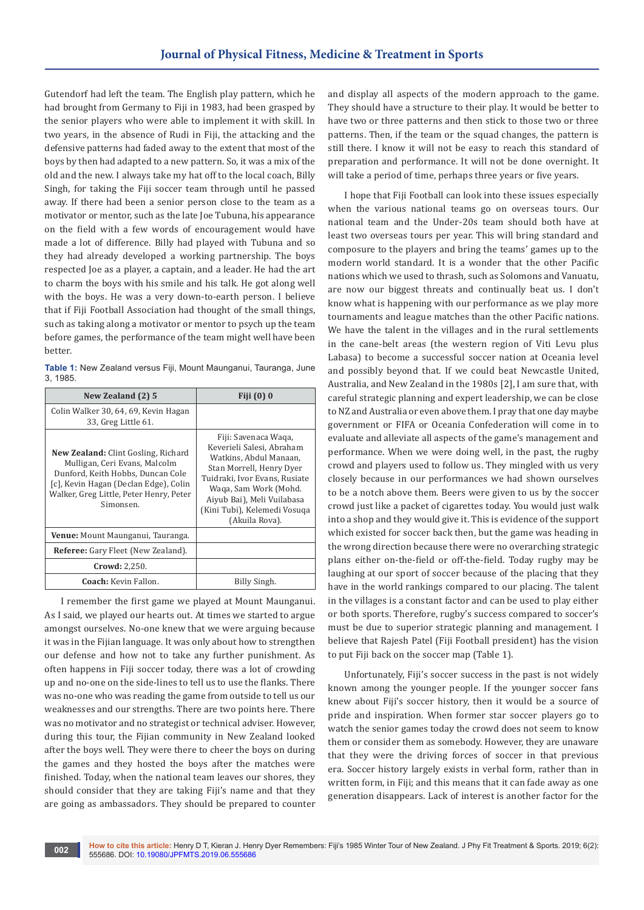Gutendorf had left the team. The English play pattern, which he had brought from Germany to Fiji in 1983, had been grasped by the senior players who were able to implement it with skill. In two years, in the absence of Rudi in Fiji, the attacking and the defensive patterns had faded away to the extent that most of the boys by then had adapted to a new pattern. So, it was a mix of the old and the new. I always take my hat off to the local coach, Billy Singh, for taking the Fiji soccer team through until he passed away. If there had been a senior person close to the team as a motivator or mentor, such as the late Joe Tubuna, his appearance on the field with a few words of encouragement would have made a lot of difference. Billy had played with Tubuna and so they had already developed a working partnership. The boys respected Joe as a player, a captain, and a leader. He had the art to charm the boys with his smile and his talk. He got along well with the boys. He was a very down-to-earth person. I believe that if Fiji Football Association had thought of the small things, such as taking along a motivator or mentor to psych up the team before games, the performance of the team might well have been better.

**Table 1:** New Zealand versus Fiji, Mount Maunganui, Tauranga, June 3, 1985.

| New Zealand (2) 5                                                                                                                                                                                                 | Fiji $(0)$ 0                                                                                                                                                                                                                                      |  |
|-------------------------------------------------------------------------------------------------------------------------------------------------------------------------------------------------------------------|---------------------------------------------------------------------------------------------------------------------------------------------------------------------------------------------------------------------------------------------------|--|
| Colin Walker 30, 64, 69, Kevin Hagan<br>33, Greg Little 61.                                                                                                                                                       |                                                                                                                                                                                                                                                   |  |
| <b>New Zealand:</b> Clint Gosling, Richard<br>Mulligan, Ceri Evans, Malcolm<br>Dunford, Keith Hobbs, Duncan Cole<br>[c], Kevin Hagan (Declan Edge), Colin<br>Walker, Greg Little, Peter Henry, Peter<br>Simonsen. | Fiji: Savenaca Waqa,<br>Keverieli Salesi, Abraham<br>Watkins, Abdul Manaan,<br>Stan Morrell, Henry Dyer<br>Tuidraki, Ivor Evans, Rusiate<br>Waqa, Sam Work (Mohd.<br>Aiyub Bai), Meli Vuilabasa<br>(Kini Tubi), Kelemedi Vosuga<br>(Akuila Rova). |  |
| <b>Venue:</b> Mount Maunganui, Tauranga.                                                                                                                                                                          |                                                                                                                                                                                                                                                   |  |
| <b>Referee:</b> Gary Fleet (New Zealand).                                                                                                                                                                         |                                                                                                                                                                                                                                                   |  |
| <b>Crowd: 2,250.</b>                                                                                                                                                                                              |                                                                                                                                                                                                                                                   |  |
| <b>Coach:</b> Kevin Fallon.                                                                                                                                                                                       | Billy Singh.                                                                                                                                                                                                                                      |  |

I remember the first game we played at Mount Maunganui. As I said, we played our hearts out. At times we started to argue amongst ourselves. No-one knew that we were arguing because it was in the Fijian language. It was only about how to strengthen our defense and how not to take any further punishment. As often happens in Fiji soccer today, there was a lot of crowding up and no-one on the side-lines to tell us to use the flanks. There was no-one who was reading the game from outside to tell us our weaknesses and our strengths. There are two points here. There was no motivator and no strategist or technical adviser. However, during this tour, the Fijian community in New Zealand looked after the boys well. They were there to cheer the boys on during the games and they hosted the boys after the matches were finished. Today, when the national team leaves our shores, they should consider that they are taking Fiji's name and that they are going as ambassadors. They should be prepared to counter and display all aspects of the modern approach to the game. They should have a structure to their play. It would be better to have two or three patterns and then stick to those two or three patterns. Then, if the team or the squad changes, the pattern is still there. I know it will not be easy to reach this standard of preparation and performance. It will not be done overnight. It will take a period of time, perhaps three years or five years.

I hope that Fiji Football can look into these issues especially when the various national teams go on overseas tours. Our national team and the Under-20s team should both have at least two overseas tours per year. This will bring standard and composure to the players and bring the teams' games up to the modern world standard. It is a wonder that the other Pacific nations which we used to thrash, such as Solomons and Vanuatu, are now our biggest threats and continually beat us. I don't know what is happening with our performance as we play more tournaments and league matches than the other Pacific nations. We have the talent in the villages and in the rural settlements in the cane-belt areas (the western region of Viti Levu plus Labasa) to become a successful soccer nation at Oceania level and possibly beyond that. If we could beat Newcastle United, Australia, and New Zealand in the 1980s [2], I am sure that, with careful strategic planning and expert leadership, we can be close to NZ and Australia or even above them. I pray that one day maybe government or FIFA or Oceania Confederation will come in to evaluate and alleviate all aspects of the game's management and performance. When we were doing well, in the past, the rugby crowd and players used to follow us. They mingled with us very closely because in our performances we had shown ourselves to be a notch above them. Beers were given to us by the soccer crowd just like a packet of cigarettes today. You would just walk into a shop and they would give it. This is evidence of the support which existed for soccer back then, but the game was heading in the wrong direction because there were no overarching strategic plans either on-the-field or off-the-field. Today rugby may be laughing at our sport of soccer because of the placing that they have in the world rankings compared to our placing. The talent in the villages is a constant factor and can be used to play either or both sports. Therefore, rugby's success compared to soccer's must be due to superior strategic planning and management. I believe that Rajesh Patel (Fiji Football president) has the vision to put Fiji back on the soccer map (Table 1).

Unfortunately, Fiji's soccer success in the past is not widely known among the younger people. If the younger soccer fans knew about Fiji's soccer history, then it would be a source of pride and inspiration. When former star soccer players go to watch the senior games today the crowd does not seem to know them or consider them as somebody. However, they are unaware that they were the driving forces of soccer in that previous era. Soccer history largely exists in verbal form, rather than in written form, in Fiji; and this means that it can fade away as one generation disappears. Lack of interest is another factor for the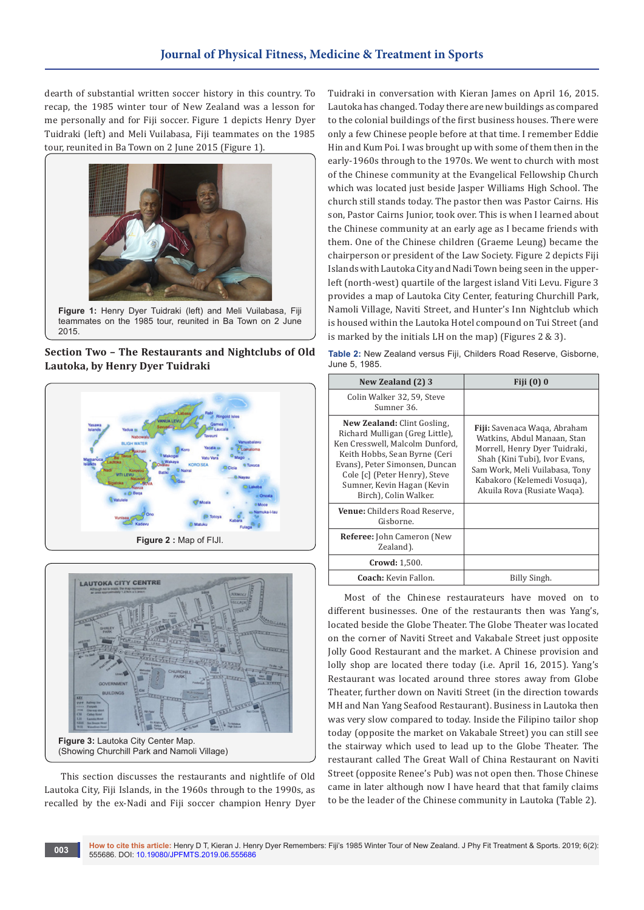dearth of substantial written soccer history in this country. To recap, the 1985 winter tour of New Zealand was a lesson for me personally and for Fiji soccer. Figure 1 depicts Henry Dyer Tuidraki (left) and Meli Vuilabasa, Fiji teammates on the 1985 tour, reunited in Ba Town on 2 June 2015 (Figure 1).



**Figure 1:** Henry Dyer Tuidraki (left) and Meli Vuilabasa, Fiji teammates on the 1985 tour, reunited in Ba Town on 2 June 2015.

**Section Two – The Restaurants and Nightclubs of Old Lautoka, by Henry Dyer Tuidraki**





This section discusses the restaurants and nightlife of Old Lautoka City, Fiji Islands, in the 1960s through to the 1990s, as recalled by the ex-Nadi and Fiji soccer champion Henry Dyer Tuidraki in conversation with Kieran James on April 16, 2015. Lautoka has changed. Today there are new buildings as compared to the colonial buildings of the first business houses. There were only a few Chinese people before at that time. I remember Eddie Hin and Kum Poi. I was brought up with some of them then in the early-1960s through to the 1970s. We went to church with most of the Chinese community at the Evangelical Fellowship Church which was located just beside Jasper Williams High School. The church still stands today. The pastor then was Pastor Cairns. His son, Pastor Cairns Junior, took over. This is when I learned about the Chinese community at an early age as I became friends with them. One of the Chinese children (Graeme Leung) became the chairperson or president of the Law Society. Figure 2 depicts Fiji Islands with Lautoka City and Nadi Town being seen in the upperleft (north-west) quartile of the largest island Viti Levu. Figure 3 provides a map of Lautoka City Center, featuring Churchill Park, Namoli Village, Naviti Street, and Hunter's Inn Nightclub which is housed within the Lautoka Hotel compound on Tui Street (and is marked by the initials LH on the map) (Figures 2 & 3).

**Table 2:** New Zealand versus Fiji, Childers Road Reserve, Gisborne, June 5, 1985.

| New Zealand (2) 3                                                                                                                                                                                                                                            | Fiji (0) 0                                                                                                                                                                                                                           |
|--------------------------------------------------------------------------------------------------------------------------------------------------------------------------------------------------------------------------------------------------------------|--------------------------------------------------------------------------------------------------------------------------------------------------------------------------------------------------------------------------------------|
| Colin Walker 32, 59, Steve<br>Sumner 36.                                                                                                                                                                                                                     |                                                                                                                                                                                                                                      |
| New Zealand: Clint Gosling,<br>Richard Mulligan (Greg Little),<br>Ken Cresswell, Malcolm Dunford,<br>Keith Hobbs, Sean Byrne (Ceri<br>Evans), Peter Simonsen, Duncan<br>Cole [c] (Peter Henry), Steve<br>Sumner, Kevin Hagan (Kevin<br>Birch), Colin Walker. | <b>Fiji:</b> Savenaca Waqa, Abraham<br>Watkins, Abdul Manaan, Stan<br>Morrell, Henry Dyer Tuidraki,<br>Shah (Kini Tubi), Ivor Evans,<br>Sam Work, Meli Vuilabasa, Tony<br>Kabakoro (Kelemedi Vosuqa),<br>Akuila Rova (Rusiate Waqa). |
| <b>Venue:</b> Childers Road Reserve,<br>Gisborne.                                                                                                                                                                                                            |                                                                                                                                                                                                                                      |
| <b>Referee:</b> John Cameron (New)<br>Zealand).                                                                                                                                                                                                              |                                                                                                                                                                                                                                      |
| <b>Crowd:</b> 1,500.                                                                                                                                                                                                                                         |                                                                                                                                                                                                                                      |
| <b>Coach:</b> Kevin Fallon.                                                                                                                                                                                                                                  | Billy Singh.                                                                                                                                                                                                                         |

Most of the Chinese restaurateurs have moved on to different businesses. One of the restaurants then was Yang's, located beside the Globe Theater. The Globe Theater was located on the corner of Naviti Street and Vakabale Street just opposite Jolly Good Restaurant and the market. A Chinese provision and lolly shop are located there today (i.e. April 16, 2015). Yang's Restaurant was located around three stores away from Globe Theater, further down on Naviti Street (in the direction towards MH and Nan Yang Seafood Restaurant). Business in Lautoka then was very slow compared to today. Inside the Filipino tailor shop today (opposite the market on Vakabale Street) you can still see the stairway which used to lead up to the Globe Theater. The restaurant called The Great Wall of China Restaurant on Naviti Street (opposite Renee's Pub) was not open then. Those Chinese came in later although now I have heard that that family claims to be the leader of the Chinese community in Lautoka (Table 2).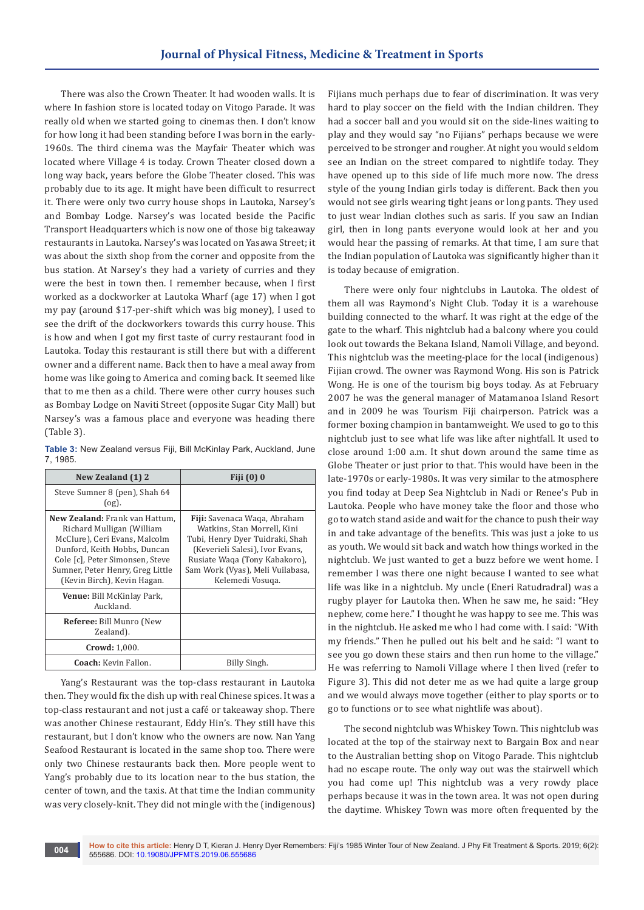There was also the Crown Theater. It had wooden walls. It is where In fashion store is located today on Vitogo Parade. It was really old when we started going to cinemas then. I don't know for how long it had been standing before I was born in the early-1960s. The third cinema was the Mayfair Theater which was located where Village 4 is today. Crown Theater closed down a long way back, years before the Globe Theater closed. This was probably due to its age. It might have been difficult to resurrect it. There were only two curry house shops in Lautoka, Narsey's and Bombay Lodge. Narsey's was located beside the Pacific Transport Headquarters which is now one of those big takeaway restaurants in Lautoka. Narsey's was located on Yasawa Street; it was about the sixth shop from the corner and opposite from the bus station. At Narsey's they had a variety of curries and they were the best in town then. I remember because, when I first worked as a dockworker at Lautoka Wharf (age 17) when I got my pay (around \$17-per-shift which was big money), I used to see the drift of the dockworkers towards this curry house. This is how and when I got my first taste of curry restaurant food in Lautoka. Today this restaurant is still there but with a different owner and a different name. Back then to have a meal away from home was like going to America and coming back. It seemed like that to me then as a child. There were other curry houses such as Bombay Lodge on Naviti Street (opposite Sugar City Mall) but Narsey's was a famous place and everyone was heading there (Table 3).

| Table 3: New Zealand versus Fiji, Bill McKinlay Park, Auckland, June |  |  |  |
|----------------------------------------------------------------------|--|--|--|
| 7, 1985.                                                             |  |  |  |

| New Zealand (1) 2                                                                                                                                                                                                                         | Fiji (0) 0                                                                                                                                                                                                                        |
|-------------------------------------------------------------------------------------------------------------------------------------------------------------------------------------------------------------------------------------------|-----------------------------------------------------------------------------------------------------------------------------------------------------------------------------------------------------------------------------------|
| Steve Sumner 8 (pen), Shah 64<br>$($ og).                                                                                                                                                                                                 |                                                                                                                                                                                                                                   |
| <b>New Zealand:</b> Frank van Hattum.<br>Richard Mulligan (William<br>McClure), Ceri Evans, Malcolm<br>Dunford, Keith Hobbs, Duncan<br>Cole [c], Peter Simonsen, Steve<br>Sumner, Peter Henry, Greg Little<br>(Kevin Birch), Kevin Hagan. | <b>Fiji:</b> Savenaca Waqa, Abraham<br>Watkins, Stan Morrell, Kini<br>Tubi, Henry Dyer Tuidraki, Shah<br>(Keverieli Salesi), Ivor Evans,<br>Rusiate Waqa (Tony Kabakoro),<br>Sam Work (Vyas), Meli Vuilabasa,<br>Kelemedi Vosuga. |
| <b>Venue:</b> Bill McKinlay Park,<br>Auckland.                                                                                                                                                                                            |                                                                                                                                                                                                                                   |
| <b>Referee:</b> Bill Munro (New<br>Zealand).                                                                                                                                                                                              |                                                                                                                                                                                                                                   |
| <b>Crowd: 1,000.</b>                                                                                                                                                                                                                      |                                                                                                                                                                                                                                   |
| Coach: Kevin Fallon.                                                                                                                                                                                                                      | Billy Singh.                                                                                                                                                                                                                      |

Yang's Restaurant was the top-class restaurant in Lautoka then. They would fix the dish up with real Chinese spices. It was a top-class restaurant and not just a café or takeaway shop. There was another Chinese restaurant, Eddy Hin's. They still have this restaurant, but I don't know who the owners are now. Nan Yang Seafood Restaurant is located in the same shop too. There were only two Chinese restaurants back then. More people went to Yang's probably due to its location near to the bus station, the center of town, and the taxis. At that time the Indian community was very closely-knit. They did not mingle with the (indigenous)

Fijians much perhaps due to fear of discrimination. It was very hard to play soccer on the field with the Indian children. They had a soccer ball and you would sit on the side-lines waiting to play and they would say "no Fijians" perhaps because we were perceived to be stronger and rougher. At night you would seldom see an Indian on the street compared to nightlife today. They have opened up to this side of life much more now. The dress style of the young Indian girls today is different. Back then you would not see girls wearing tight jeans or long pants. They used to just wear Indian clothes such as saris. If you saw an Indian girl, then in long pants everyone would look at her and you would hear the passing of remarks. At that time, I am sure that the Indian population of Lautoka was significantly higher than it is today because of emigration.

There were only four nightclubs in Lautoka. The oldest of them all was Raymond's Night Club. Today it is a warehouse building connected to the wharf. It was right at the edge of the gate to the wharf. This nightclub had a balcony where you could look out towards the Bekana Island, Namoli Village, and beyond. This nightclub was the meeting-place for the local (indigenous) Fijian crowd. The owner was Raymond Wong. His son is Patrick Wong. He is one of the tourism big boys today. As at February 2007 he was the general manager of Matamanoa Island Resort and in 2009 he was Tourism Fiji chairperson. Patrick was a former boxing champion in bantamweight. We used to go to this nightclub just to see what life was like after nightfall. It used to close around 1:00 a.m. It shut down around the same time as Globe Theater or just prior to that. This would have been in the late-1970s or early-1980s. It was very similar to the atmosphere you find today at Deep Sea Nightclub in Nadi or Renee's Pub in Lautoka. People who have money take the floor and those who go to watch stand aside and wait for the chance to push their way in and take advantage of the benefits. This was just a joke to us as youth. We would sit back and watch how things worked in the nightclub. We just wanted to get a buzz before we went home. I remember I was there one night because I wanted to see what life was like in a nightclub. My uncle (Eneri Ratudradral) was a rugby player for Lautoka then. When he saw me, he said: "Hey nephew, come here." I thought he was happy to see me. This was in the nightclub. He asked me who I had come with. I said: "With my friends." Then he pulled out his belt and he said: "I want to see you go down these stairs and then run home to the village." He was referring to Namoli Village where I then lived (refer to Figure 3). This did not deter me as we had quite a large group and we would always move together (either to play sports or to go to functions or to see what nightlife was about).

The second nightclub was Whiskey Town. This nightclub was located at the top of the stairway next to Bargain Box and near to the Australian betting shop on Vitogo Parade. This nightclub had no escape route. The only way out was the stairwell which you had come up! This nightclub was a very rowdy place perhaps because it was in the town area. It was not open during the daytime. Whiskey Town was more often frequented by the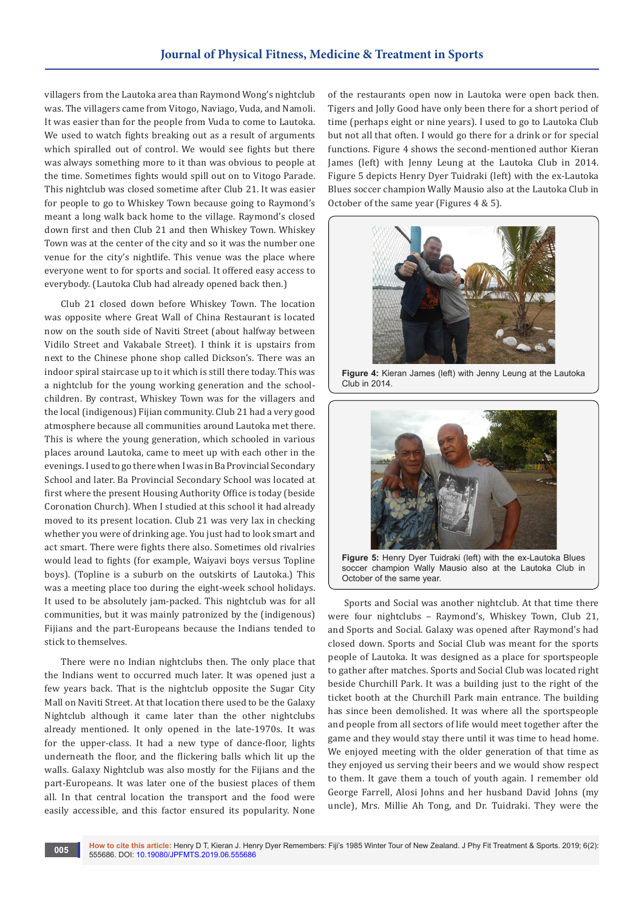villagers from the Lautoka area than Raymond Wong's nightclub was. The villagers came from Vitogo, Naviago, Vuda, and Namoli. It was easier than for the people from Vuda to come to Lautoka. We used to watch fights breaking out as a result of arguments which spiralled out of control. We would see fights but there was always something more to it than was obvious to people at the time. Sometimes fights would spill out on to Vitogo Parade. This nightclub was closed sometime after Club 21. It was easier for people to go to Whiskey Town because going to Raymond's meant a long walk back home to the village. Raymond's closed down first and then Club 21 and then Whiskey Town. Whiskey Town was at the center of the city and so it was the number one venue for the city's nightlife. This venue was the place where everyone went to for sports and social. It offered easy access to everybody. (Lautoka Club had already opened back then.)

Club 21 closed down before Whiskey Town. The location was opposite where Great Wall of China Restaurant is located now on the south side of Naviti Street (about halfway between Vidilo Street and Vakabale Street). I think it is upstairs from next to the Chinese phone shop called Dickson's. There was an indoor spiral staircase up to it which is still there today. This was a nightclub for the young working generation and the schoolchildren. By contrast, Whiskey Town was for the villagers and the local (indigenous) Fijian community. Club 21 had a very good atmosphere because all communities around Lautoka met there. This is where the young generation, which schooled in various places around Lautoka, came to meet up with each other in the evenings. I used to go there when I was in Ba Provincial Secondary School and later. Ba Provincial Secondary School was located at first where the present Housing Authority Office is today (beside Coronation Church). When I studied at this school it had already moved to its present location. Club 21 was very lax in checking whether you were of drinking age. You just had to look smart and act smart. There were fights there also. Sometimes old rivalries would lead to fights (for example, Waiyavi boys versus Topline boys). (Topline is a suburb on the outskirts of Lautoka.) This was a meeting place too during the eight-week school holidays. It used to be absolutely jam-packed. This nightclub was for all communities, but it was mainly patronized by the (indigenous) Fijians and the part-Europeans because the Indians tended to stick to themselves.

There were no Indian nightclubs then. The only place that the Indians went to occurred much later. It was opened just a few years back. That is the nightclub opposite the Sugar City Mall on Naviti Street. At that location there used to be the Galaxy Nightclub although it came later than the other nightclubs already mentioned. It only opened in the late-1970s. It was for the upper-class. It had a new type of dance-floor, lights underneath the floor, and the flickering balls which lit up the walls. Galaxy Nightclub was also mostly for the Fijians and the part-Europeans. It was later one of the busiest places of them all. In that central location the transport and the food were easily accessible, and this factor ensured its popularity. None

of the restaurants open now in Lautoka were open back then. Tigers and Jolly Good have only been there for a short period of time (perhaps eight or nine years). I used to go to Lautoka Club but not all that often. I would go there for a drink or for special functions. Figure 4 shows the second-mentioned author Kieran James (left) with Jenny Leung at the Lautoka Club in 2014. Figure 5 depicts Henry Dyer Tuidraki (left) with the ex-Lautoka Blues soccer champion Wally Mausio also at the Lautoka Club in October of the same year (Figures 4 & 5).



**Figure 4:** Kieran James (left) with Jenny Leung at the Lautoka Club in 2014.



**Figure 5:** Henry Dyer Tuidraki (left) with the ex-Lautoka Blues soccer champion Wally Mausio also at the Lautoka Club in October of the same year.

Sports and Social was another nightclub. At that time there were four nightclubs – Raymond's, Whiskey Town, Club 21, and Sports and Social. Galaxy was opened after Raymond's had closed down. Sports and Social Club was meant for the sports people of Lautoka. It was designed as a place for sportspeople to gather after matches. Sports and Social Club was located right beside Churchill Park. It was a building just to the right of the ticket booth at the Churchill Park main entrance. The building has since been demolished. It was where all the sportspeople and people from all sectors of life would meet together after the game and they would stay there until it was time to head home. We enjoyed meeting with the older generation of that time as they enjoyed us serving their beers and we would show respect to them. It gave them a touch of youth again. I remember old George Farrell, Alosi Johns and her husband David Johns (my uncle), Mrs. Millie Ah Tong, and Dr. Tuidraki. They were the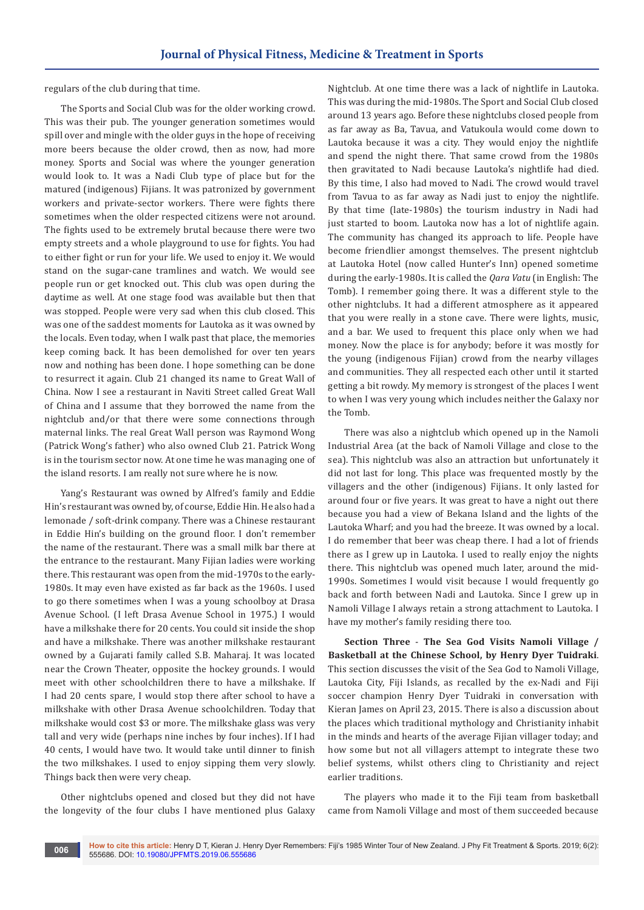regulars of the club during that time.

The Sports and Social Club was for the older working crowd. This was their pub. The younger generation sometimes would spill over and mingle with the older guys in the hope of receiving more beers because the older crowd, then as now, had more money. Sports and Social was where the younger generation would look to. It was a Nadi Club type of place but for the matured (indigenous) Fijians. It was patronized by government workers and private-sector workers. There were fights there sometimes when the older respected citizens were not around. The fights used to be extremely brutal because there were two empty streets and a whole playground to use for fights. You had to either fight or run for your life. We used to enjoy it. We would stand on the sugar-cane tramlines and watch. We would see people run or get knocked out. This club was open during the daytime as well. At one stage food was available but then that was stopped. People were very sad when this club closed. This was one of the saddest moments for Lautoka as it was owned by the locals. Even today, when I walk past that place, the memories keep coming back. It has been demolished for over ten years now and nothing has been done. I hope something can be done to resurrect it again. Club 21 changed its name to Great Wall of China. Now I see a restaurant in Naviti Street called Great Wall of China and I assume that they borrowed the name from the nightclub and/or that there were some connections through maternal links. The real Great Wall person was Raymond Wong (Patrick Wong's father) who also owned Club 21. Patrick Wong is in the tourism sector now. At one time he was managing one of the island resorts. I am really not sure where he is now.

Yang's Restaurant was owned by Alfred's family and Eddie Hin's restaurant was owned by, of course, Eddie Hin. He also had a lemonade / soft-drink company. There was a Chinese restaurant in Eddie Hin's building on the ground floor. I don't remember the name of the restaurant. There was a small milk bar there at the entrance to the restaurant. Many Fijian ladies were working there. This restaurant was open from the mid-1970s to the early-1980s. It may even have existed as far back as the 1960s. I used to go there sometimes when I was a young schoolboy at Drasa Avenue School. (I left Drasa Avenue School in 1975.) I would have a milkshake there for 20 cents. You could sit inside the shop and have a milkshake. There was another milkshake restaurant owned by a Gujarati family called S.B. Maharaj. It was located near the Crown Theater, opposite the hockey grounds. I would meet with other schoolchildren there to have a milkshake. If I had 20 cents spare, I would stop there after school to have a milkshake with other Drasa Avenue schoolchildren. Today that milkshake would cost \$3 or more. The milkshake glass was very tall and very wide (perhaps nine inches by four inches). If I had 40 cents, I would have two. It would take until dinner to finish the two milkshakes. I used to enjoy sipping them very slowly. Things back then were very cheap.

Other nightclubs opened and closed but they did not have the longevity of the four clubs I have mentioned plus Galaxy

Nightclub. At one time there was a lack of nightlife in Lautoka. This was during the mid-1980s. The Sport and Social Club closed around 13 years ago. Before these nightclubs closed people from as far away as Ba, Tavua, and Vatukoula would come down to Lautoka because it was a city. They would enjoy the nightlife and spend the night there. That same crowd from the 1980s then gravitated to Nadi because Lautoka's nightlife had died. By this time, I also had moved to Nadi. The crowd would travel from Tavua to as far away as Nadi just to enjoy the nightlife. By that time (late-1980s) the tourism industry in Nadi had just started to boom. Lautoka now has a lot of nightlife again. The community has changed its approach to life. People have become friendlier amongst themselves. The present nightclub at Lautoka Hotel (now called Hunter's Inn) opened sometime during the early-1980s. It is called the *Qara Vatu* (in English: The Tomb). I remember going there. It was a different style to the other nightclubs. It had a different atmosphere as it appeared that you were really in a stone cave. There were lights, music, and a bar. We used to frequent this place only when we had money. Now the place is for anybody; before it was mostly for the young (indigenous Fijian) crowd from the nearby villages and communities. They all respected each other until it started getting a bit rowdy. My memory is strongest of the places I went to when I was very young which includes neither the Galaxy nor the Tomb.

There was also a nightclub which opened up in the Namoli Industrial Area (at the back of Namoli Village and close to the sea). This nightclub was also an attraction but unfortunately it did not last for long. This place was frequented mostly by the villagers and the other (indigenous) Fijians. It only lasted for around four or five years. It was great to have a night out there because you had a view of Bekana Island and the lights of the Lautoka Wharf; and you had the breeze. It was owned by a local. I do remember that beer was cheap there. I had a lot of friends there as I grew up in Lautoka. I used to really enjoy the nights there. This nightclub was opened much later, around the mid-1990s. Sometimes I would visit because I would frequently go back and forth between Nadi and Lautoka. Since I grew up in Namoli Village I always retain a strong attachment to Lautoka. I have my mother's family residing there too.

**Section Three** - **The Sea God Visits Namoli Village / Basketball at the Chinese School, by Henry Dyer Tuidraki**. This section discusses the visit of the Sea God to Namoli Village, Lautoka City, Fiji Islands, as recalled by the ex-Nadi and Fiji soccer champion Henry Dyer Tuidraki in conversation with Kieran James on April 23, 2015. There is also a discussion about the places which traditional mythology and Christianity inhabit in the minds and hearts of the average Fijian villager today; and how some but not all villagers attempt to integrate these two belief systems, whilst others cling to Christianity and reject earlier traditions.

The players who made it to the Fiji team from basketball came from Namoli Village and most of them succeeded because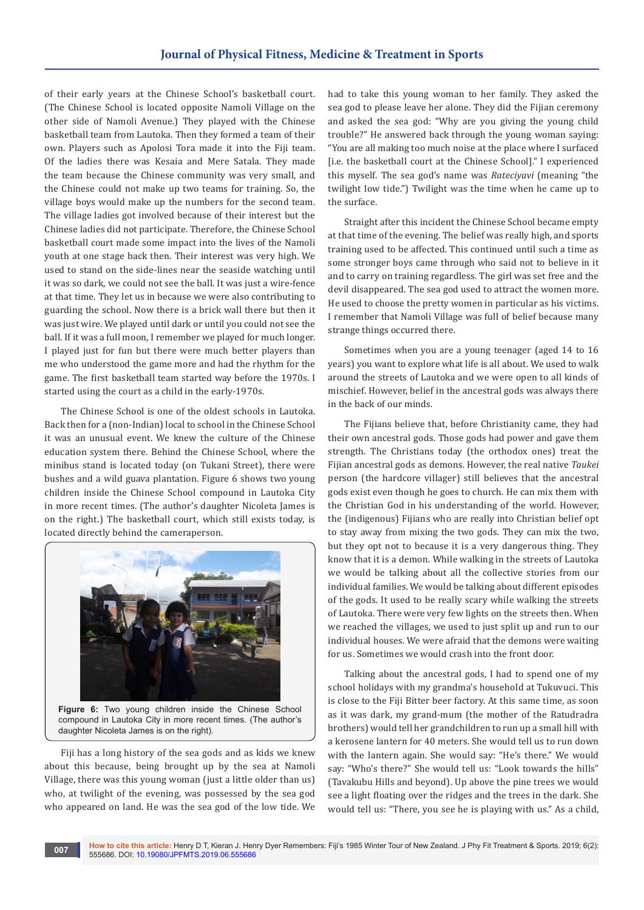of their early years at the Chinese School's basketball court. (The Chinese School is located opposite Namoli Village on the other side of Namoli Avenue.) They played with the Chinese basketball team from Lautoka. Then they formed a team of their own. Players such as Apolosi Tora made it into the Fiji team. Of the ladies there was Kesaia and Mere Satala. They made the team because the Chinese community was very small, and the Chinese could not make up two teams for training. So, the village boys would make up the numbers for the second team. The village ladies got involved because of their interest but the Chinese ladies did not participate. Therefore, the Chinese School basketball court made some impact into the lives of the Namoli youth at one stage back then. Their interest was very high. We used to stand on the side-lines near the seaside watching until it was so dark, we could not see the ball. It was just a wire-fence at that time. They let us in because we were also contributing to guarding the school. Now there is a brick wall there but then it was just wire. We played until dark or until you could not see the ball. If it was a full moon, I remember we played for much longer. I played just for fun but there were much better players than me who understood the game more and had the rhythm for the game. The first basketball team started way before the 1970s. I started using the court as a child in the early-1970s.

The Chinese School is one of the oldest schools in Lautoka. Back then for a (non-Indian) local to school in the Chinese School it was an unusual event. We knew the culture of the Chinese education system there. Behind the Chinese School, where the minibus stand is located today (on Tukani Street), there were bushes and a wild guava plantation. Figure 6 shows two young children inside the Chinese School compound in Lautoka City in more recent times. (The author's daughter Nicoleta James is on the right.) The basketball court, which still exists today, is located directly behind the cameraperson.



**Figure 6:** Two young children inside the Chinese School compound in Lautoka City in more recent times. (The author's daughter Nicoleta James is on the right).

Fiji has a long history of the sea gods and as kids we knew about this because, being brought up by the sea at Namoli Village, there was this young woman (just a little older than us) who, at twilight of the evening, was possessed by the sea god who appeared on land. He was the sea god of the low tide. We had to take this young woman to her family. They asked the sea god to please leave her alone. They did the Fijian ceremony and asked the sea god: "Why are you giving the young child trouble?" He answered back through the young woman saying: "You are all making too much noise at the place where I surfaced [i.e. the basketball court at the Chinese School]." I experienced this myself. The sea god's name was *Rateciyavi* (meaning "the twilight low tide.") Twilight was the time when he came up to the surface.

Straight after this incident the Chinese School became empty at that time of the evening. The belief was really high, and sports training used to be affected. This continued until such a time as some stronger boys came through who said not to believe in it and to carry on training regardless. The girl was set free and the devil disappeared. The sea god used to attract the women more. He used to choose the pretty women in particular as his victims. I remember that Namoli Village was full of belief because many strange things occurred there.

Sometimes when you are a young teenager (aged 14 to 16 years) you want to explore what life is all about. We used to walk around the streets of Lautoka and we were open to all kinds of mischief. However, belief in the ancestral gods was always there in the back of our minds.

The Fijians believe that, before Christianity came, they had their own ancestral gods. Those gods had power and gave them strength. The Christians today (the orthodox ones) treat the Fijian ancestral gods as demons. However, the real native *Taukei*  person (the hardcore villager) still believes that the ancestral gods exist even though he goes to church. He can mix them with the Christian God in his understanding of the world. However, the (indigenous) Fijians who are really into Christian belief opt to stay away from mixing the two gods. They can mix the two, but they opt not to because it is a very dangerous thing. They know that it is a demon. While walking in the streets of Lautoka we would be talking about all the collective stories from our individual families. We would be talking about different episodes of the gods. It used to be really scary while walking the streets of Lautoka. There were very few lights on the streets then. When we reached the villages, we used to just split up and run to our individual houses. We were afraid that the demons were waiting for us. Sometimes we would crash into the front door.

Talking about the ancestral gods, I had to spend one of my school holidays with my grandma's household at Tukuvuci. This is close to the Fiji Bitter beer factory. At this same time, as soon as it was dark, my grand-mum (the mother of the Ratudradra brothers) would tell her grandchildren to run up a small hill with a kerosene lantern for 40 meters. She would tell us to run down with the lantern again. She would say: "He's there." We would say: "Who's there?" She would tell us: "Look towards the hills" (Tavakubu Hills and beyond). Up above the pine trees we would see a light floating over the ridges and the trees in the dark. She would tell us: "There, you see he is playing with us." As a child,